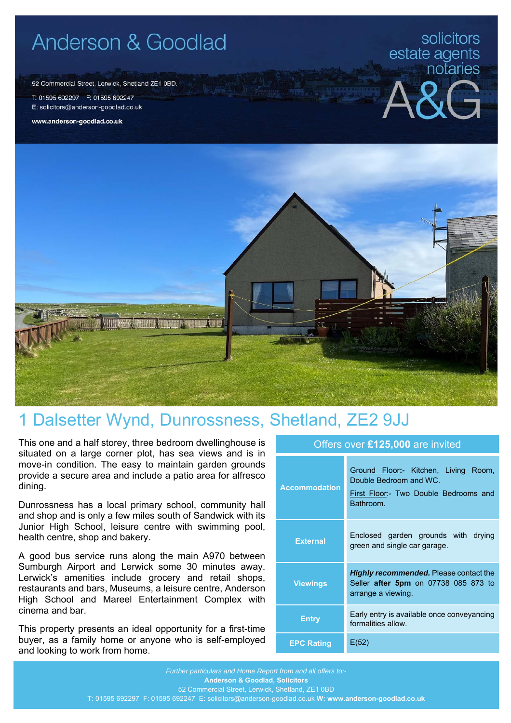# Anderson & Goodlad

52 Commercial Street, Lerwick, Shetland ZE1 0BD.

T: 01595 692297 F: 01595 692247 E: solicitors@anderson-goodlad.co.uk

www.anderson-goodlad.co.uk

# solicitors estate agents<br>notaries





## 1 Dalsetter Wynd, Dunrossness, Shetland, ZE2 9JJ

This one and a half storey, three bedroom dwellinghouse is situated on a large corner plot, has sea views and is in move-in condition. The easy to maintain garden grounds provide a secure area and include a patio area for alfresco dining.

Dunrossness has a local primary school, community hall and shop and is only a few miles south of Sandwick with its Junior High School, leisure centre with swimming pool, health centre, shop and bakery.

A good bus service runs along the main A970 between Sumburgh Airport and Lerwick some 30 minutes away. Lerwick's amenities include grocery and retail shops, restaurants and bars, Museums, a leisure centre, Anderson High School and Mareel Entertainment Complex with cinema and bar.

This property presents an ideal opportunity for a first-time buyer, as a family home or anyone who is self-employed and looking to work from home.

| <b>Accommodation</b> | Ground Floor:- Kitchen, Living Room,<br>Double Bedroom and WC.<br>First Floor:- Two Double Bedrooms and<br>Bathroom. |
|----------------------|----------------------------------------------------------------------------------------------------------------------|
| <b>External</b>      | Enclosed garden grounds with drying<br>green and single car garage.                                                  |
| <b>Viewings</b>      | <b>Highly recommended.</b> Please contact the<br>Seller after 5pm on 07738 085 873 to<br>arrange a viewing.          |
| <b>Entry</b>         | Early entry is available once conveyancing<br>formalities allow.                                                     |
| <b>EPC Rating</b>    | E(52)                                                                                                                |

Offers over **£125,000** are invited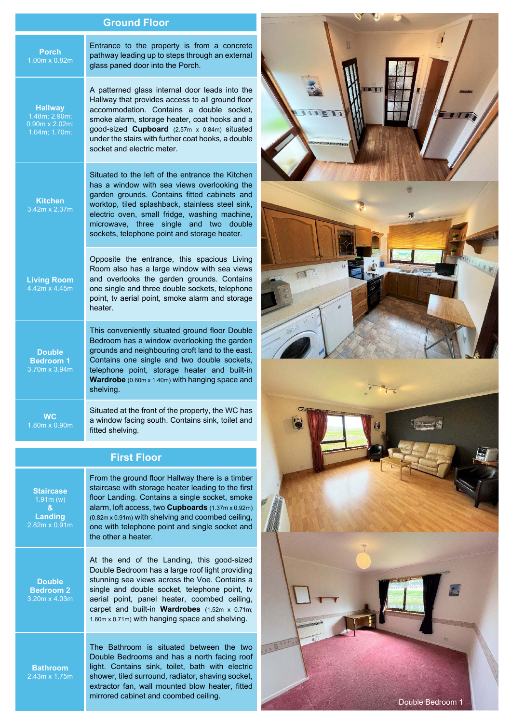### **Ground Floor**

| Entrance to the property is from a concrete<br>pathway leading up to steps through an external<br>glass paned door into the Porch.                                                                                                                                                                                                                  | <b>Porch</b><br>1.00m x 0.82m                                                  |  |
|-----------------------------------------------------------------------------------------------------------------------------------------------------------------------------------------------------------------------------------------------------------------------------------------------------------------------------------------------------|--------------------------------------------------------------------------------|--|
| A patterned glass internal door leads into the<br>Hallway that provides access to all ground floor<br>accommodation. Contains a double socket,<br>smoke alarm, storage heater, coat hooks and a<br>good-sized Cupboard (2.57m x 0.84m) situated<br>under the stairs with further coat hooks, a double<br>socket and electric meter.                 | <b>Hallway</b><br>1.48m; 2.90m;<br>$0.90m \times 2.02m$<br>$1.04m$ ; $1.70m$ ; |  |
| Situated to the left of the entrance the Kitchen<br>has a window with sea views overlooking the<br>garden grounds. Contains fitted cabinets and<br>worktop, tiled splashback, stainless steel sink,<br>electric oven, small fridge, washing machine,<br>microwave, three single and two double<br>sockets, telephone point and storage heater.      | <b>Kitchen</b><br>3.42m x 2.37m                                                |  |
| Opposite the entrance, this spacious Living<br>Room also has a large window with sea views<br>and overlooks the garden grounds. Contains<br>one single and three double sockets, telephone<br>point, tv aerial point, smoke alarm and storage<br>heater.                                                                                            | <b>Living Room</b><br>4.42m x 4.45m                                            |  |
| This conveniently situated ground floor Double<br>Bedroom has a window overlooking the garden<br>grounds and neighbouring croft land to the east.<br>Contains one single and two double sockets,<br>telephone point, storage heater and built-in<br>Wardrobe (0.60m x 1.40m) with hanging space and<br>shelving.                                    | <b>Double</b><br><b>Bedroom 1</b><br>3.70m x 3.94m                             |  |
| Situated at the front of the property, the WC has<br>a window facing south. Contains sink, toilet and<br>fitted shelving.                                                                                                                                                                                                                           | WC<br>1.80m x 0.90m                                                            |  |
| <b>First Floor</b>                                                                                                                                                                                                                                                                                                                                  |                                                                                |  |
| From the ground floor Hallway there is a timber<br>staircase with storage heater leading to the first<br>floor Landing. Contains a single socket, smoke<br>alarm, loft access, two <b>Cupboards</b> (1.37m x 0.92m)<br>(0.82m x 0.91m) with shelving and coombed ceiling,<br>one with telephone point and single socket and<br>the other a heater.  | <b>Staircase</b><br>1.91m(w)<br>&<br>Landing<br>2.82m x 0.91m                  |  |
| At the end of the Landing, this good-sized<br>Double Bedroom has a large roof light providing<br>stunning sea views across the Voe. Contains a<br>single and double socket, telephone point, tv<br>aerial point, panel heater, coombed ceiling,<br>carpet and built-in Wardrobes (1.52m x 0.71m;<br>1.60m x 0.71m) with hanging space and shelving. | <b>Double</b><br><b>Bedroom 2</b><br>3.20m x 4.03m                             |  |
| The Bathroom is situated between the two<br>Double Bedrooms and has a north facing roof<br>light. Contains sink, toilet, bath with electric<br>shower, tiled surround, radiator, shaving socket,<br>extractor fan, wall mounted blow heater, fitted<br>mirrored cabinet and coombed ceiling.                                                        | <b>Bathroom</b><br>$2.43m \times 1.75m$                                        |  |